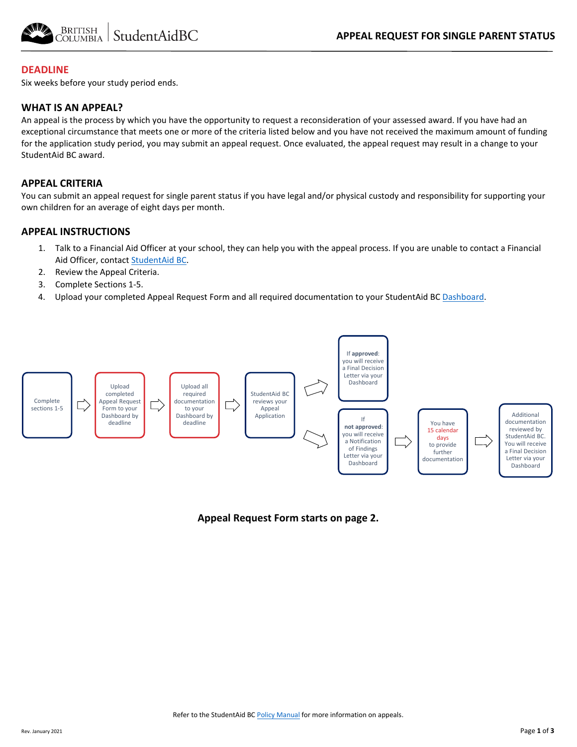

### **DEADLINE**

Six weeks before your study period ends.

#### **WHAT IS AN APPEAL?**

An appeal is the process by which you have the opportunity to request a reconsideration of your assessed award. If you have had an exceptional circumstance that meets one or more of the criteria listed below and you have not received the maximum amount of funding for the application study period, you may submit an appeal request. Once evaluated, the appeal request may result in a change to your StudentAid BC award.

### **APPEAL CRITERIA**

You can submit an appeal request for single parent status if you have legal and/or physical custody and responsibility for supporting your own children for an average of eight days per month.

#### **APPEAL INSTRUCTIONS**

- 1. Talk to a Financial Aid Officer at your school, they can help you with the appeal process. If you are unable to contact a Financial Aid Officer, contac[t StudentAid BC.](https://studentaidbc.ca/contact-information)
- 2. Review the Appeal Criteria.
- 3. Complete Sections 1-5.
- 4. Upload your completed Appeal Request Form and all required documentation to your StudentAid BC [Dashboard.](https://studentaidbc.ca/dashboard)



#### **Appeal Request Form starts on page 2.**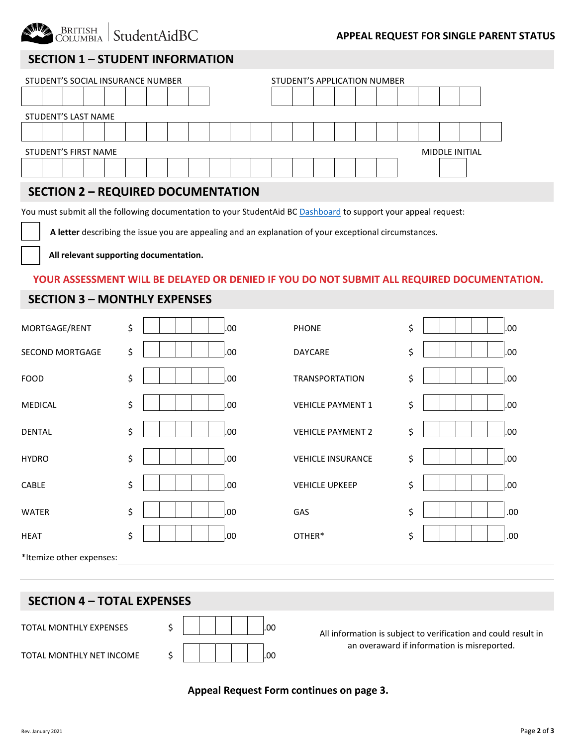

### **APPEAL REQUEST FOR SINGLE PARENT STATUS**

# **SECTION 1 – STUDENT INFORMATION**

| STUDENT'S SOCIAL INSURANCE NUMBER             |  |  |  |  |  |  |  | STUDENT'S APPLICATION NUMBER |  |  |  |  |  |  |  |  |  |  |
|-----------------------------------------------|--|--|--|--|--|--|--|------------------------------|--|--|--|--|--|--|--|--|--|--|
|                                               |  |  |  |  |  |  |  |                              |  |  |  |  |  |  |  |  |  |  |
| STUDENT'S LAST NAME                           |  |  |  |  |  |  |  |                              |  |  |  |  |  |  |  |  |  |  |
|                                               |  |  |  |  |  |  |  |                              |  |  |  |  |  |  |  |  |  |  |
| <b>STUDENT'S FIRST NAME</b><br>MIDDLE INITIAL |  |  |  |  |  |  |  |                              |  |  |  |  |  |  |  |  |  |  |
|                                               |  |  |  |  |  |  |  |                              |  |  |  |  |  |  |  |  |  |  |

# **SECTION 2 – REQUIRED DOCUMENTATION**

You must submit all the following documentation to your StudentAid BC [Dashboard](https://studentaidbc.ca/dashboard) to support your appeal request:

 **A letter** describing the issue you are appealing and an explanation of your exceptional circumstances.

**All relevant supporting documentation.**

#### **YOUR ASSESSMENT WILL BE DELAYED OR DENIED IF YOU DO NOT SUBMIT ALL REQUIRED DOCUMENTATION.**

### **SECTION 3 – MONTHLY EXPENSES**

| MORTGAGE/RENT            | \$<br>.00. | <b>PHONE</b>             | \$<br>.00  |
|--------------------------|------------|--------------------------|------------|
| SECOND MORTGAGE          | \$<br>.00. | DAYCARE                  | \$<br>.00  |
| <b>FOOD</b>              | \$<br>.00. | <b>TRANSPORTATION</b>    | \$<br>.00  |
| <b>MEDICAL</b>           | \$<br>.00  | <b>VEHICLE PAYMENT 1</b> | \$<br>.00. |
| <b>DENTAL</b>            | \$<br>.00. | <b>VEHICLE PAYMENT 2</b> | \$<br>.00. |
| <b>HYDRO</b>             | \$<br>.00  | <b>VEHICLE INSURANCE</b> | \$<br>.00. |
| CABLE                    | \$<br>.00  | <b>VEHICLE UPKEEP</b>    | \$<br>.00. |
| <b>WATER</b>             | \$<br>.00. | GAS                      | \$<br>.00. |
| <b>HEAT</b>              | \$<br>.00. | OTHER*                   | \$<br>.00. |
| *Itemize other expenses: |            |                          |            |

# **SECTION 4 – TOTAL EXPENSES**

TOTAL MONTHLY EXPENSES

TOTAL MONTHLY NET INCOME

|  |  |  | .00 |
|--|--|--|-----|
|  |  |  | .00 |

All information is subject to verification and could result in an overaward if information is misreported.

## **Appeal Request Form continues on page 3.**